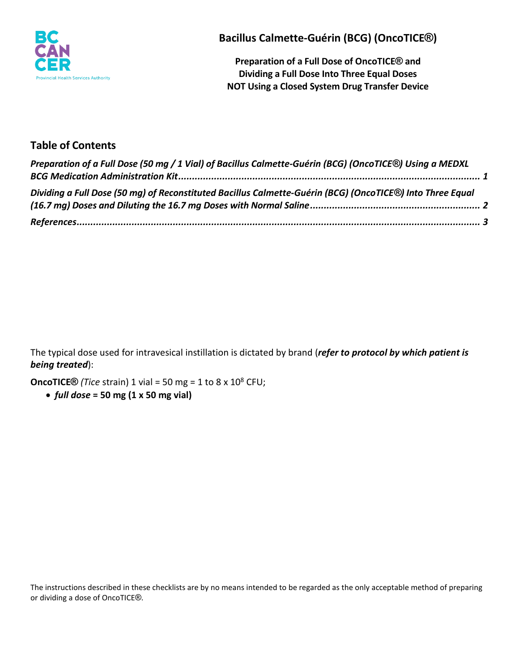

**Bacillus Calmette-Guérin (BCG) (OncoTICE®)**

**Preparation of a Full Dose of OncoTICE® and Dividing a Full Dose Into Three Equal Doses NOT Using a Closed System Drug Transfer Device**

# **Table of Contents**

| Preparation of a Full Dose (50 mg / 1 Vial) of Bacillus Calmette-Guérin (BCG) (OncoTICE®) Using a MEDXL   |  |
|-----------------------------------------------------------------------------------------------------------|--|
|                                                                                                           |  |
| Dividing a Full Dose (50 mg) of Reconstituted Bacillus Calmette-Guérin (BCG) (OncoTICE®) Into Three Equal |  |
|                                                                                                           |  |

The typical dose used for intravesical instillation is dictated by brand (*refer to protocol by which patient is being treated*):

**OncoTICE**<sup>®</sup> *(Tice* strain) 1 vial = 50 mg = 1 to 8 x 10<sup>8</sup> CFU;

• *full dose* **= 50 mg (1 x 50 mg vial)**

The instructions described in these checklists are by no means intended to be regarded as the only acceptable method of preparing or dividing a dose of OncoTICE®.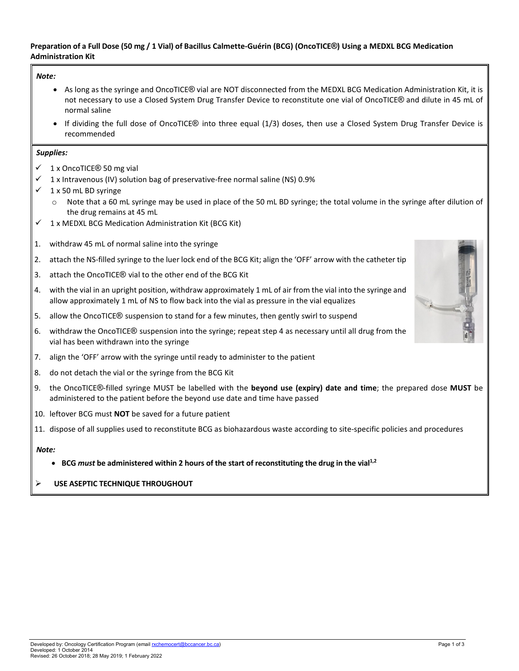### <span id="page-1-0"></span>**Preparation of a Full Dose (50 mg / 1 Vial) of Bacillus Calmette-Guérin (BCG) (OncoTICE®) Using a MEDXL BCG Medication Administration Kit**

#### *Note:*

- As long as the syringe and OncoTICE® vial are NOT disconnected from the MEDXL BCG Medication Administration Kit, it is not necessary to use a Closed System Drug Transfer Device to reconstitute one vial of OncoTICE® and dilute in 45 mL of normal saline
- If dividing the full dose of OncoTICE® into three equal (1/3) doses, then use a Closed System Drug Transfer Device is recommended

#### *Supplies:*

- $\checkmark$  1 x OncoTICE® 50 mg vial
- $\checkmark$  1 x Intravenous (IV) solution bag of preservative-free normal saline (NS) 0.9%
- $\checkmark$  1 x 50 mL BD syringe
	- $\circ$  Note that a 60 mL syringe may be used in place of the 50 mL BD syringe; the total volume in the syringe after dilution of the drug remains at 45 mL
- $1 x$  MEDXL BCG Medication Administration Kit (BCG Kit)
- 1. withdraw 45 mL of normal saline into the syringe
- 2. attach the NS-filled syringe to the luer lock end of the BCG Kit; align the 'OFF' arrow with the catheter tip
- 3. attach the OncoTICE® vial to the other end of the BCG Kit
- 4. with the vial in an upright position, withdraw approximately 1 mL of air from the vial into the syringe and allow approximately 1 mL of NS to flow back into the vial as pressure in the vial equalizes
- 5. allow the OncoTICE® suspension to stand for a few minutes, then gently swirl to suspend
- 6. withdraw the OncoTICE® suspension into the syringe; repeat step 4 as necessary until all drug from the vial has been withdrawn into the syringe
- 7. align the 'OFF' arrow with the syringe until ready to administer to the patient
- 8. do not detach the vial or the syringe from the BCG Kit
- 9. the OncoTICE®-filled syringe MUST be labelled with the **beyond use (expiry) date and time**; the prepared dose **MUST** be administered to the patient before the beyond use date and time have passed
- 10. leftover BCG must **NOT** be saved for a future patient
- 11. dispose of all supplies used to reconstitute BCG as biohazardous waste according to site-specific policies and procedures

### *Note:*

• **BCG** *must* **be administered within 2 hours of the start of reconstituting the drug in the vial1,2**

## **USE ASEPTIC TECHNIQUE THROUGHOUT**

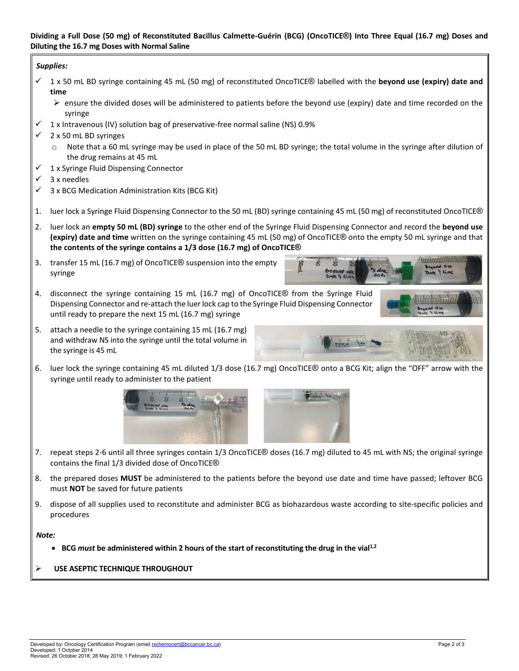### <span id="page-2-0"></span>**Dividing a Full Dose (50 mg) of Reconstituted Bacillus Calmette-Guérin (BCG) (OncoTICE®) Into Three Equal (16.7 mg) Doses and Diluting the 16.7 mg Doses with Normal Saline**

### *Supplies:*

- $\checkmark$  1 x 50 mL BD syringe containing 45 mL (50 mg) of reconstituted OncoTICE® labelled with the **beyond use (expiry) date and time**
	- ensure the divided doses will be administered to patients before the beyond use (expiry) date and time recorded on the syringe
- $\checkmark$  1 x Intravenous (IV) solution bag of preservative-free normal saline (NS) 0.9%
- $\checkmark$  2 x 50 mL BD syringes
	- $\circ$  Note that a 60 mL syringe may be used in place of the 50 mL BD syringe; the total volume in the syringe after dilution of the drug remains at 45 mL
- $\checkmark$  1 x Syringe Fluid Dispensing Connector
- 3 x needles
- $\checkmark$  3 x BCG Medication Administration Kits (BCG Kit)
- 1. luer lock a Syringe Fluid Dispensing Connector to the 50 mL (BD) syringe containing 45 mL (50 mg) of reconstituted OncoTICE®
- 2. luer lock an **empty 50 mL (BD) syringe** to the other end of the Syringe Fluid Dispensing Connector and record the **beyond use (expiry) date and time** written on the syringe containing 45 mL (50 mg) of OncoTICE® onto the empty 50 mL syringe and that **the contents of the syringe contains a 1/3 dose (16.7 mg) of OncoTICE®**
- 3. transfer 15 mL (16.7 mg) of OncoTICE® suspension into the empty syringe
- 4. disconnect the syringe containing 15 mL (16.7 mg) of OncoTICE® from the Syringe Fluid Dispensing Connector and re-attach the luer lock cap to the Syringe Fluid Dispensing Connector until ready to prepare the next 15 mL (16.7 mg) syringe
- 5. attach a needle to the syringe containing 15 mL (16.7 mg) and withdraw NS into the syringe until the total volume in the syringe is 45 mL
- 6. luer lock the syringe containing 45 mL diluted 1/3 dose (16.7 mg) OncoTICE® onto a BCG Kit; align the "OFF" arrow with the syringe until ready to administer to the patient



- 7. repeat steps 2-6 until all three syringes contain 1/3 OncoTICE® doses (16.7 mg) diluted to 45 mL with NS; the original syringe contains the final 1/3 divided dose of OncoTICE®
- 8. the prepared doses **MUST** be administered to the patients before the beyond use date and time have passed; leftover BCG must **NOT** be saved for future patients
- 9. dispose of all supplies used to reconstitute and administer BCG as biohazardous waste according to site-specific policies and procedures

### *Note:*

- **BCG** *must* **be administered within 2 hours of the start of reconstituting the drug in the vial1,2**
- **USE ASEPTIC TECHNIQUE THROUGHOUT**